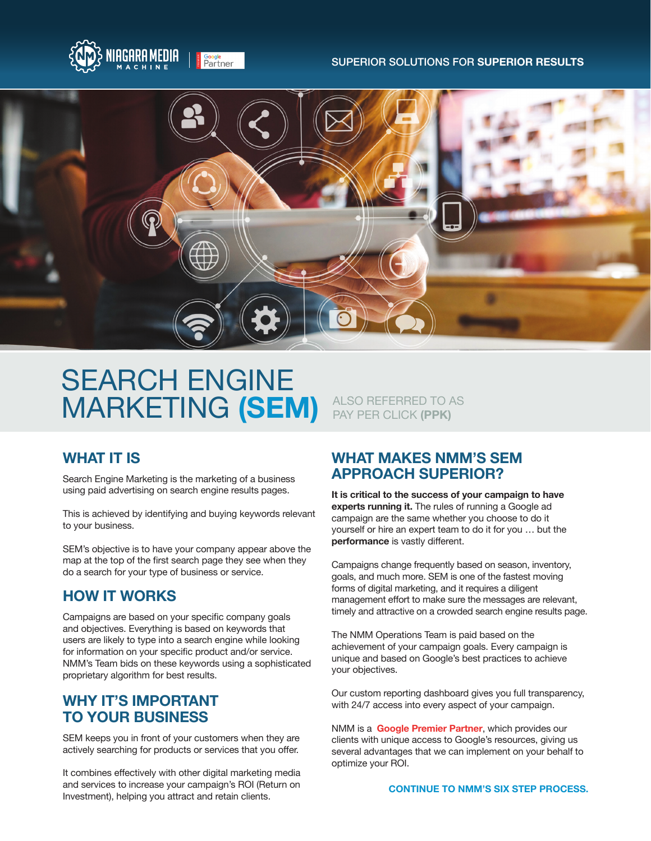#### SUPERIOR SOLUTIONS FOR **SUPERIOR RESULTS**





# SEARCH ENGINE MARKETING **(SEM)** ALSO REFERRED TO AS PAY PER CLICK **(PPK)**

## **WHAT IT IS**

Search Engine Marketing is the marketing of a business using paid advertising on search engine results pages.

This is achieved by identifying and buying keywords relevant to your business.

SEM's objective is to have your company appear above the map at the top of the first search page they see when they do a search for your type of business or service.

## **HOW IT WORKS**

Campaigns are based on your specific company goals and objectives. Everything is based on keywords that users are likely to type into a search engine while looking for information on your specific product and/or service. NMM's Team bids on these keywords using a sophisticated proprietary algorithm for best results.

# **WHY IT'S IMPORTANT TO YOUR BUSINESS**

SEM keeps you in front of your customers when they are actively searching for products or services that you offer.

It combines effectively with other digital marketing media and services to increase your campaign's ROI (Return on Investment), helping you attract and retain clients.

## **WHAT MAKES NMM'S SEM APPROACH SUPERIOR?**

**It is critical to the success of your campaign to have experts running it.** The rules of running a Google ad campaign are the same whether you choose to do it yourself or hire an expert team to do it for you … but the **performance** is vastly different.

Campaigns change frequently based on season, inventory, goals, and much more. SEM is one of the fastest moving forms of digital marketing, and it requires a diligent management effort to make sure the messages are relevant, timely and attractive on a crowded search engine results page.

The NMM Operations Team is paid based on the achievement of your campaign goals. Every campaign is unique and based on Google's best practices to achieve your objectives.

Our custom reporting dashboard gives you full transparency, with 24/7 access into every aspect of your campaign.

NMM is a **Google Premier Partner**, which provides our clients with unique access to Google's resources, giving us several advantages that we can implement on your behalf to optimize your ROI.